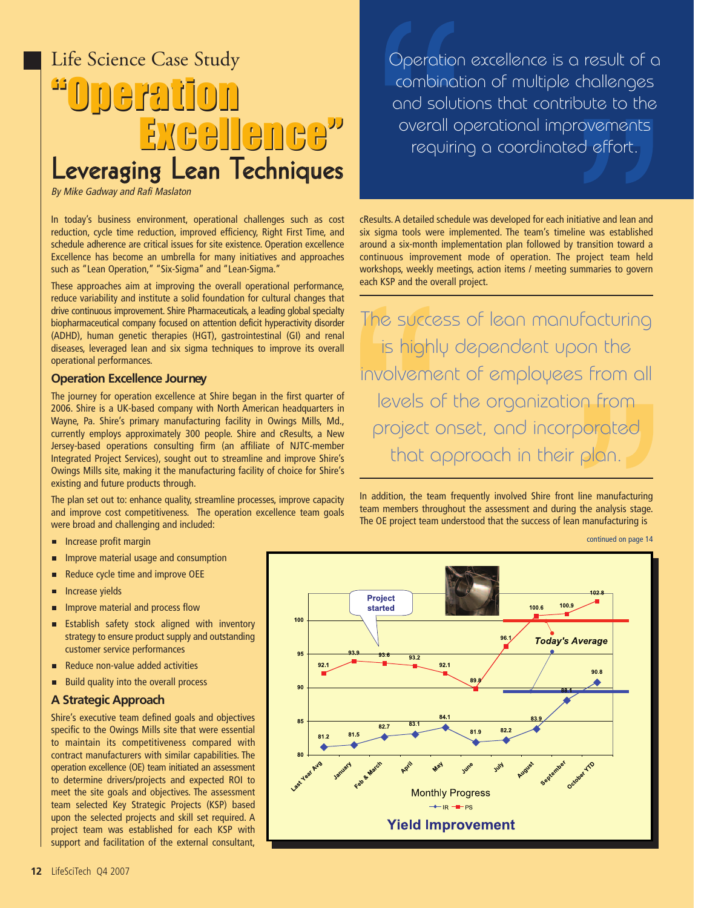# **"Operation "Operation Excellence" Excellence"** Life Science Case Study Leveraging Lean Techniques

By Mike Gadway and Rafi Maslaton

In today's business environment, operational challenges such as cost reduction, cycle time reduction, improved efficiency, Right First Time, and schedule adherence are critical issues for site existence. Operation excellence Excellence has become an umbrella for many initiatives and approaches such as "Lean Operation," "Six-Sigma" and "Lean-Sigma."

These approaches aim at improving the overall operational performance, reduce variability and institute a solid foundation for cultural changes that drive continuous improvement. Shire Pharmaceuticals, a leading global specialty biopharmaceutical company focused on attention deficit hyperactivity disorder (ADHD), human genetic therapies (HGT), gastrointestinal (GI) and renal diseases, leveraged lean and six sigma techniques to improve its overall operational performances.

#### **Operation Excellence Journey**

The journey for operation excellence at Shire began in the first quarter of 2006. Shire is a UK-based company with North American headquarters in Wayne, Pa. Shire's primary manufacturing facility in Owings Mills, Md., currently employs approximately 300 people. Shire and cResults, a New Jersey-based operations consulting firm (an affiliate of NJTC-member Integrated Project Services), sought out to streamline and improve Shire's Owings Mills site, making it the manufacturing facility of choice for Shire's existing and future products through.

The plan set out to: enhance quality, streamline processes, improve capacity and improve cost competitiveness. The operation excellence team goals were broad and challenging and included:

- Increase profit margin
- Improve material usage and consumption п
- Reduce cycle time and improve OEE  $\blacksquare$
- Increase yields F
- Improve material and process flow д
- $\blacksquare$ Establish safety stock aligned with inventory strategy to ensure product supply and outstanding customer service performances
- F Reduce non-value added activities
- Build quality into the overall process n.

#### **A Strategic Approach**

Shire's executive team defined goals and objectives specific to the Owings Mills site that were essential to maintain its competitiveness compared with contract manufacturers with similar capabilities. The operation excellence (OE) team initiated an assessment to determine drivers/projects and expected ROI to meet the site goals and objectives. The assessment team selected Key Strategic Projects (KSP) based upon the selected projects and skill set required. A project team was established for each KSP with support and facilitation of the external consultant,

Operation excellence is a result of a combination of multiple challenges and solutions that contribute to the overall operational improvements requiring a coordinated effort.

cResults. A detailed schedule was developed for each initiative and lean and six sigma tools were implemented. The team's timeline was established around a six-month implementation plan followed by transition toward a continuous improvement mode of operation. The project team held workshops, weekly meetings, action items / meeting summaries to govern each KSP and the overall project.

The success of lean manufacturing is highly dependent upon the involvement of employees from all levels of the organization from project onset, and incorporated that approach in their plan.

In addition, the team frequently involved Shire front line manufacturing team members throughout the assessment and during the analysis stage. The OE project team understood that the success of lean manufacturing is

continued on page 14